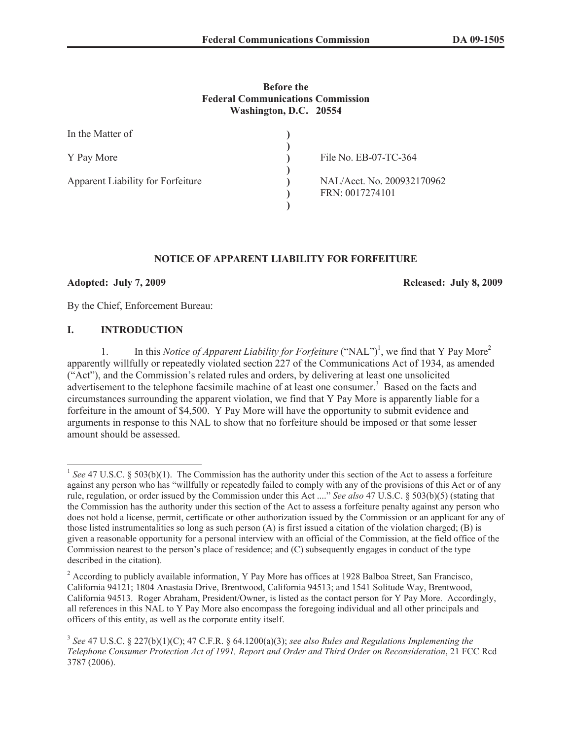#### **Before the Federal Communications Commission Washington, D.C. 20554**

| In the Matter of                  |                                               |
|-----------------------------------|-----------------------------------------------|
| Y Pay More                        | File No. EB-07-TC-364                         |
| Apparent Liability for Forfeiture | NAL/Acct. No. 200932170962<br>FRN: 0017274101 |
|                                   |                                               |

## **NOTICE OF APPARENT LIABILITY FOR FORFEITURE**

**Adopted: July 7, 2009 Released: July 8, 2009**

By the Chief, Enforcement Bureau:

#### **I. INTRODUCTION**

1. In this *Notice of Apparent Liability for Forfeiture* ("NAL")<sup>1</sup>, we find that Y Pay More<sup>2</sup> apparently willfully or repeatedly violated section 227 of the Communications Act of 1934, as amended ("Act"), and the Commission's related rules and orders, by delivering at least one unsolicited advertisement to the telephone facsimile machine of at least one consumer.<sup>3</sup> Based on the facts and circumstances surrounding the apparent violation, we find that Y Pay More is apparently liable for a forfeiture in the amount of \$4,500. Y Pay More will have the opportunity to submit evidence and arguments in response to this NAL to show that no forfeiture should be imposed or that some lesser amount should be assessed.

<sup>&</sup>lt;sup>1</sup> See 47 U.S.C. § 503(b)(1). The Commission has the authority under this section of the Act to assess a forfeiture against any person who has "willfully or repeatedly failed to comply with any of the provisions of this Act or of any rule, regulation, or order issued by the Commission under this Act ...." *See also* 47 U.S.C. § 503(b)(5) (stating that the Commission has the authority under this section of the Act to assess a forfeiture penalty against any person who does not hold a license, permit, certificate or other authorization issued by the Commission or an applicant for any of those listed instrumentalities so long as such person (A) is first issued a citation of the violation charged; (B) is given a reasonable opportunity for a personal interview with an official of the Commission, at the field office of the Commission nearest to the person's place of residence; and (C) subsequently engages in conduct of the type described in the citation).

<sup>&</sup>lt;sup>2</sup> According to publicly available information, Y Pay More has offices at 1928 Balboa Street, San Francisco, California 94121; 1804 Anastasia Drive, Brentwood, California 94513; and 1541 Solitude Way, Brentwood, California 94513. Roger Abraham, President/Owner, is listed as the contact person for Y Pay More. Accordingly, all references in this NAL to Y Pay More also encompass the foregoing individual and all other principals and officers of this entity, as well as the corporate entity itself.

<sup>3</sup> *See* 47 U.S.C. § 227(b)(1)(C); 47 C.F.R. § 64.1200(a)(3); *see also Rules and Regulations Implementing the Telephone Consumer Protection Act of 1991, Report and Order and Third Order on Reconsideration*, 21 FCC Rcd 3787 (2006).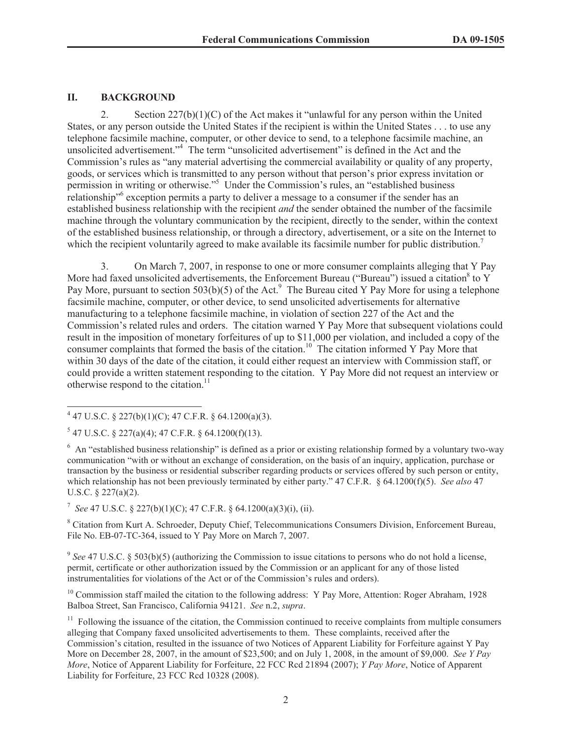# **II. BACKGROUND**

2. Section  $227(b)(1)(C)$  of the Act makes it "unlawful for any person within the United States, or any person outside the United States if the recipient is within the United States . . . to use any telephone facsimile machine, computer, or other device to send, to a telephone facsimile machine, an unsolicited advertisement." <sup>4</sup> The term "unsolicited advertisement" is defined in the Act and the Commission's rules as "any material advertising the commercial availability or quality of any property, goods, or services which is transmitted to any person without that person's prior express invitation or permission in writing or otherwise."<sup>5</sup> Under the Commission's rules, an "established business relationship<sup>16</sup> exception permits a party to deliver a message to a consumer if the sender has an established business relationship with the recipient *and* the sender obtained the number of the facsimile machine through the voluntary communication by the recipient, directly to the sender, within the context of the established business relationship, or through a directory, advertisement, or a site on the Internet to which the recipient voluntarily agreed to make available its facsimile number for public distribution.<sup>7</sup>

3. On March 7, 2007, in response to one or more consumer complaints alleging that Y Pay More had faxed unsolicited advertisements, the Enforcement Bureau ("Bureau") issued a citation<sup>8</sup> to Y Pay More, pursuant to section 503(b)(5) of the Act.<sup>9</sup> The Bureau cited Y Pay More for using a telephone facsimile machine, computer, or other device, to send unsolicited advertisements for alternative manufacturing to a telephone facsimile machine, in violation of section 227 of the Act and the Commission's related rules and orders. The citation warned Y Pay More that subsequent violations could result in the imposition of monetary forfeitures of up to \$11,000 per violation, and included a copy of the consumer complaints that formed the basis of the citation.<sup>10</sup> The citation informed Y Pay More that within 30 days of the date of the citation, it could either request an interview with Commission staff, or could provide a written statement responding to the citation. Y Pay More did not request an interview or otherwise respond to the citation. $^{11}$ 

7 *See* 47 U.S.C. § 227(b)(1)(C); 47 C.F.R. § 64.1200(a)(3)(i), (ii).

<sup>8</sup> Citation from Kurt A. Schroeder, Deputy Chief, Telecommunications Consumers Division, Enforcement Bureau, File No. EB-07-TC-364, issued to Y Pay More on March 7, 2007.

<sup>9</sup> See 47 U.S.C. § 503(b)(5) (authorizing the Commission to issue citations to persons who do not hold a license, permit, certificate or other authorization issued by the Commission or an applicant for any of those listed instrumentalities for violations of the Act or of the Commission's rules and orders).

<sup>10</sup> Commission staff mailed the citation to the following address: Y Pay More, Attention: Roger Abraham, 1928 Balboa Street, San Francisco, California 94121. *See* n.2, *supra*.

<sup>11</sup> Following the issuance of the citation, the Commission continued to receive complaints from multiple consumers alleging that Company faxed unsolicited advertisements to them. These complaints, received after the Commission's citation, resulted in the issuance of two Notices of Apparent Liability for Forfeiture against Y Pay More on December 28, 2007, in the amount of \$23,500; and on July 1, 2008, in the amount of \$9,000. *See Y Pay More*, Notice of Apparent Liability for Forfeiture, 22 FCC Rcd 21894 (2007); *Y Pay More*, Notice of Apparent Liability for Forfeiture, 23 FCC Rcd 10328 (2008).

 $4$  47 U.S.C. § 227(b)(1)(C); 47 C.F.R. § 64.1200(a)(3).

 $5$  47 U.S.C. § 227(a)(4); 47 C.F.R. § 64.1200(f)(13).

<sup>&</sup>lt;sup>6</sup> An "established business relationship" is defined as a prior or existing relationship formed by a voluntary two-way communication "with or without an exchange of consideration, on the basis of an inquiry, application, purchase or transaction by the business or residential subscriber regarding products or services offered by such person or entity, which relationship has not been previously terminated by either party." 47 C.F.R. § 64.1200(f)(5). *See also* 47 U.S.C. § 227(a)(2).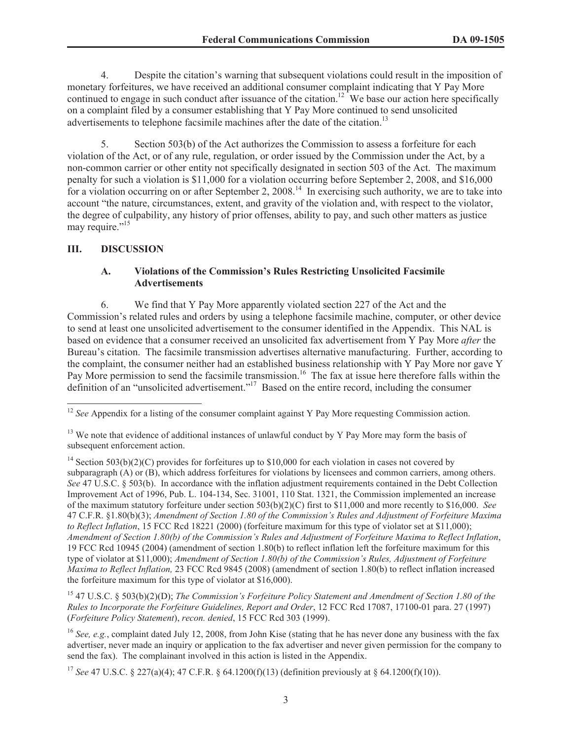4. Despite the citation's warning that subsequent violations could result in the imposition of monetary forfeitures, we have received an additional consumer complaint indicating that Y Pay More continued to engage in such conduct after issuance of the citation.<sup>12</sup> We base our action here specifically on a complaint filed by a consumer establishing that Y Pay More continued to send unsolicited advertisements to telephone facsimile machines after the date of the citation.<sup>13</sup>

5. Section 503(b) of the Act authorizes the Commission to assess a forfeiture for each violation of the Act, or of any rule, regulation, or order issued by the Commission under the Act, by a non-common carrier or other entity not specifically designated in section 503 of the Act. The maximum penalty for such a violation is \$11,000 for a violation occurring before September 2, 2008, and \$16,000 for a violation occurring on or after September 2, 2008.<sup>14</sup> In exercising such authority, we are to take into account "the nature, circumstances, extent, and gravity of the violation and, with respect to the violator, the degree of culpability, any history of prior offenses, ability to pay, and such other matters as justice may require."<sup>15</sup>

## **III. DISCUSSION**

### **A. Violations of the Commission's Rules Restricting Unsolicited Facsimile Advertisements**

6. We find that Y Pay More apparently violated section 227 of the Act and the Commission's related rules and orders by using a telephone facsimile machine, computer, or other device to send at least one unsolicited advertisement to the consumer identified in the Appendix. This NAL is based on evidence that a consumer received an unsolicited fax advertisement from Y Pay More *after* the Bureau's citation. The facsimile transmission advertises alternative manufacturing. Further, according to the complaint, the consumer neither had an established business relationship with Y Pay More nor gave Y Pay More permission to send the facsimile transmission.<sup>16</sup> The fax at issue here therefore falls within the definition of an "unsolicited advertisement."<sup>17</sup> Based on the entire record, including the consumer

<sup>15</sup> 47 U.S.C. § 503(b)(2)(D); *The Commission's Forfeiture Policy Statement and Amendment of Section 1.80 of the Rules to Incorporate the Forfeiture Guidelines, Report and Order*, 12 FCC Rcd 17087, 17100-01 para. 27 (1997) (*Forfeiture Policy Statement*), *recon. denied*, 15 FCC Rcd 303 (1999).

<sup>&</sup>lt;sup>12</sup> *See* Appendix for a listing of the consumer complaint against Y Pay More requesting Commission action.

<sup>&</sup>lt;sup>13</sup> We note that evidence of additional instances of unlawful conduct by Y Pay More may form the basis of subsequent enforcement action.

<sup>&</sup>lt;sup>14</sup> Section 503(b)(2)(C) provides for forfeitures up to \$10,000 for each violation in cases not covered by subparagraph (A) or (B), which address forfeitures for violations by licensees and common carriers, among others. *See* 47 U.S.C. § 503(b). In accordance with the inflation adjustment requirements contained in the Debt Collection Improvement Act of 1996, Pub. L. 104-134, Sec. 31001, 110 Stat. 1321, the Commission implemented an increase of the maximum statutory forfeiture under section 503(b)(2)(C) first to \$11,000 and more recently to \$16,000. *See* 47 C.F.R. §1.80(b)(3); *Amendment of Section 1.80 of the Commission's Rules and Adjustment of Forfeiture Maxima to Reflect Inflation*, 15 FCC Rcd 18221 (2000) (forfeiture maximum for this type of violator set at \$11,000); *Amendment of Section 1.80(b) of the Commission's Rules and Adjustment of Forfeiture Maxima to Reflect Inflation*, 19 FCC Rcd 10945 (2004) (amendment of section 1.80(b) to reflect inflation left the forfeiture maximum for this type of violator at \$11,000); *Amendment of Section 1.80(b) of the Commission's Rules, Adjustment of Forfeiture Maxima to Reflect Inflation,* 23 FCC Rcd 9845 (2008) (amendment of section 1.80(b) to reflect inflation increased the forfeiture maximum for this type of violator at \$16,000).

<sup>&</sup>lt;sup>16</sup> *See, e.g.*, complaint dated July 12, 2008, from John Kise (stating that he has never done any business with the fax advertiser, never made an inquiry or application to the fax advertiser and never given permission for the company to send the fax). The complainant involved in this action is listed in the Appendix.

<sup>17</sup> *See* 47 U.S.C. § 227(a)(4); 47 C.F.R. § 64.1200(f)(13) (definition previously at § 64.1200(f)(10)).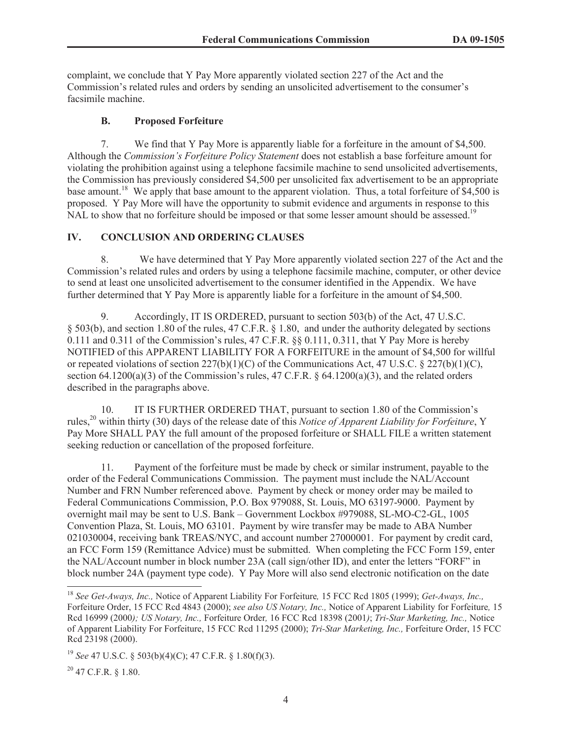complaint, we conclude that Y Pay More apparently violated section 227 of the Act and the Commission's related rules and orders by sending an unsolicited advertisement to the consumer's facsimile machine.

#### **B. Proposed Forfeiture**

7. We find that Y Pay More is apparently liable for a forfeiture in the amount of \$4,500. Although the *Commission's Forfeiture Policy Statement* does not establish a base forfeiture amount for violating the prohibition against using a telephone facsimile machine to send unsolicited advertisements, the Commission has previously considered \$4,500 per unsolicited fax advertisement to be an appropriate base amount.<sup>18</sup> We apply that base amount to the apparent violation. Thus, a total forfeiture of \$4,500 is proposed. Y Pay More will have the opportunity to submit evidence and arguments in response to this NAL to show that no forfeiture should be imposed or that some lesser amount should be assessed.<sup>19</sup>

#### **IV. CONCLUSION AND ORDERING CLAUSES**

8. We have determined that Y Pay More apparently violated section 227 of the Act and the Commission's related rules and orders by using a telephone facsimile machine, computer, or other device to send at least one unsolicited advertisement to the consumer identified in the Appendix. We have further determined that Y Pay More is apparently liable for a forfeiture in the amount of \$4,500.

9. Accordingly, IT IS ORDERED, pursuant to section 503(b) of the Act, 47 U.S.C. § 503(b), and section 1.80 of the rules, 47 C.F.R. § 1.80, and under the authority delegated by sections 0.111 and 0.311 of the Commission's rules, 47 C.F.R. §§ 0.111, 0.311, that Y Pay More is hereby NOTIFIED of this APPARENT LIABILITY FOR A FORFEITURE in the amount of \$4,500 for willful or repeated violations of section  $227(b)(1)(C)$  of the Communications Act, 47 U.S.C. § 227(b)(1)(C), section 64.1200(a)(3) of the Commission's rules, 47 C.F.R.  $\S$  64.1200(a)(3), and the related orders described in the paragraphs above.

10. IT IS FURTHER ORDERED THAT, pursuant to section 1.80 of the Commission's rules,<sup>20</sup> within thirty (30) days of the release date of this *Notice of Apparent Liability for Forfeiture*, Y Pay More SHALL PAY the full amount of the proposed forfeiture or SHALL FILE a written statement seeking reduction or cancellation of the proposed forfeiture.

11. Payment of the forfeiture must be made by check or similar instrument, payable to the order of the Federal Communications Commission. The payment must include the NAL/Account Number and FRN Number referenced above. Payment by check or money order may be mailed to Federal Communications Commission, P.O. Box 979088, St. Louis, MO 63197-9000. Payment by overnight mail may be sent to U.S. Bank – Government Lockbox #979088, SL-MO-C2-GL, 1005 Convention Plaza, St. Louis, MO 63101. Payment by wire transfer may be made to ABA Number 021030004, receiving bank TREAS/NYC, and account number 27000001. For payment by credit card, an FCC Form 159 (Remittance Advice) must be submitted. When completing the FCC Form 159, enter the NAL/Account number in block number 23A (call sign/other ID), and enter the letters "FORF" in block number 24A (payment type code). Y Pay More will also send electronic notification on the date

 $20$  47 C.F.R. § 1.80.

<sup>18</sup> *See Get-Aways, Inc.,* Notice of Apparent Liability For Forfeiture*,* 15 FCC Rcd 1805 (1999); *Get-Aways, Inc.,*  Forfeiture Order, 15 FCC Rcd 4843 (2000); *see also US Notary, Inc.,* Notice of Apparent Liability for Forfeiture*,* 15 Rcd 16999 (2000*); US Notary, Inc.,* Forfeiture Order*,* 16 FCC Rcd 18398 (2001*)*; *Tri-Star Marketing, Inc.,* Notice of Apparent Liability For Forfeiture, 15 FCC Rcd 11295 (2000); *Tri-Star Marketing, Inc.,* Forfeiture Order, 15 FCC Rcd 23198 (2000).

<sup>19</sup> *See* 47 U.S.C. § 503(b)(4)(C); 47 C.F.R. § 1.80(f)(3).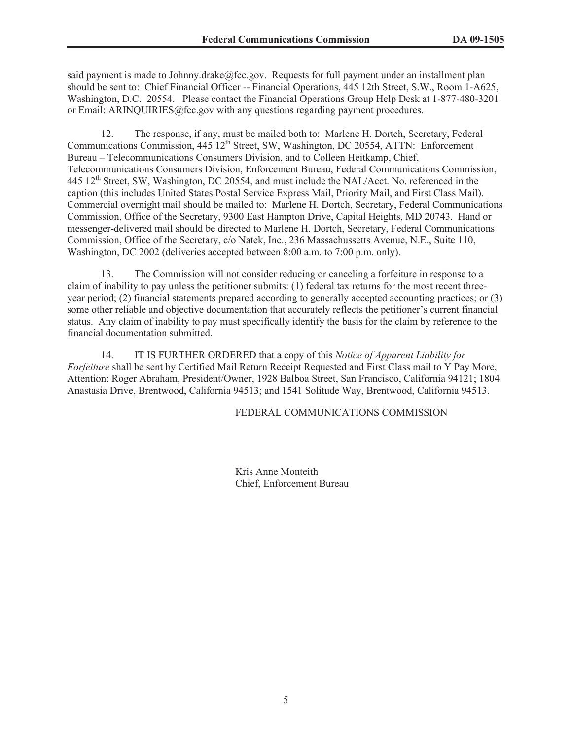said payment is made to Johnny.drake@fcc.gov. Requests for full payment under an installment plan should be sent to: Chief Financial Officer -- Financial Operations, 445 12th Street, S.W., Room 1-A625, Washington, D.C. 20554. Please contact the Financial Operations Group Help Desk at 1-877-480-3201 or Email: ARINQUIRIES@fcc.gov with any questions regarding payment procedures.

12. The response, if any, must be mailed both to: Marlene H. Dortch, Secretary, Federal Communications Commission, 445 12<sup>th</sup> Street, SW, Washington, DC 20554, ATTN: Enforcement Bureau – Telecommunications Consumers Division, and to Colleen Heitkamp, Chief, Telecommunications Consumers Division, Enforcement Bureau, Federal Communications Commission, 445 12<sup>th</sup> Street, SW, Washington, DC 20554, and must include the NAL/Acct. No. referenced in the caption (this includes United States Postal Service Express Mail, Priority Mail, and First Class Mail). Commercial overnight mail should be mailed to: Marlene H. Dortch, Secretary, Federal Communications Commission, Office of the Secretary, 9300 East Hampton Drive, Capital Heights, MD 20743. Hand or messenger-delivered mail should be directed to Marlene H. Dortch, Secretary, Federal Communications Commission, Office of the Secretary, c/o Natek, Inc., 236 Massachussetts Avenue, N.E., Suite 110, Washington, DC 2002 (deliveries accepted between 8:00 a.m. to 7:00 p.m. only).

13. The Commission will not consider reducing or canceling a forfeiture in response to a claim of inability to pay unless the petitioner submits: (1) federal tax returns for the most recent threeyear period; (2) financial statements prepared according to generally accepted accounting practices; or (3) some other reliable and objective documentation that accurately reflects the petitioner's current financial status. Any claim of inability to pay must specifically identify the basis for the claim by reference to the financial documentation submitted.

14. IT IS FURTHER ORDERED that a copy of this *Notice of Apparent Liability for Forfeiture* shall be sent by Certified Mail Return Receipt Requested and First Class mail to Y Pay More, Attention: Roger Abraham, President/Owner, 1928 Balboa Street, San Francisco, California 94121; 1804 Anastasia Drive, Brentwood, California 94513; and 1541 Solitude Way, Brentwood, California 94513.

FEDERAL COMMUNICATIONS COMMISSION

Kris Anne Monteith Chief, Enforcement Bureau